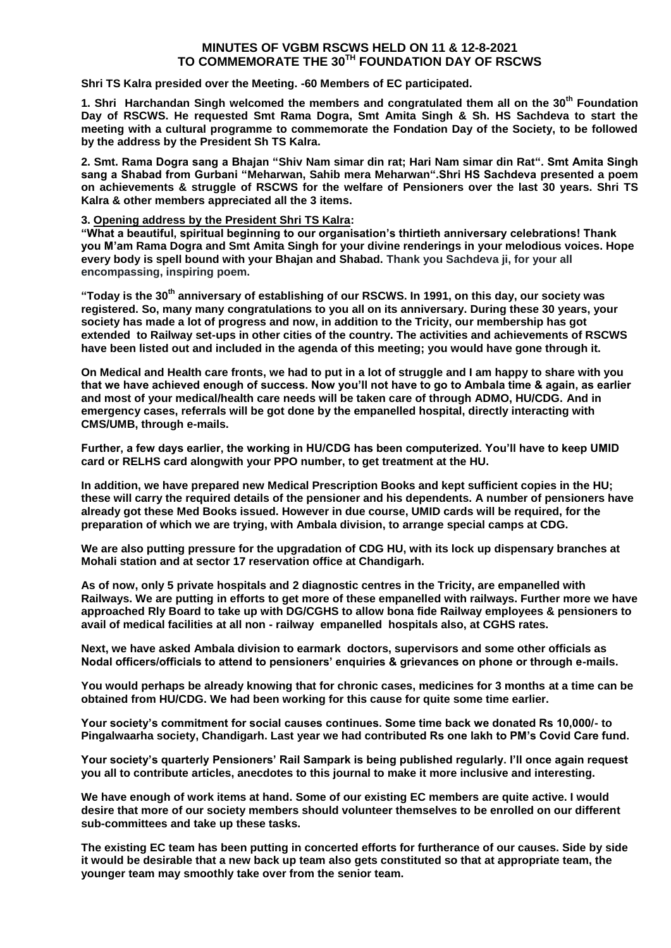# **MINUTES OF VGBM RSCWS HELD ON 11 & 12-8-2021 TO COMMEMORATE THE 30TH FOUNDATION DAY OF RSCWS**

**Shri TS Kalra presided over the Meeting. -60 Members of EC participated.**

**1. Shri Harchandan Singh welcomed the members and congratulated them all on the 30th Foundation Day of RSCWS. He requested Smt Rama Dogra, Smt Amita Singh & Sh. HS Sachdeva to start the meeting with a cultural programme to commemorate the Fondation Day of the Society, to be followed by the address by the President Sh TS Kalra.**

**2. Smt. Rama Dogra sang a Bhajan "Shiv Nam simar din rat; Hari Nam simar din Rat". Smt Amita Singh sang a Shabad from Gurbani "Meharwan, Sahib mera Meharwan".Shri HS Sachdeva presented a poem on achievements & struggle of RSCWS for the welfare of Pensioners over the last 30 years. Shri TS Kalra & other members appreciated all the 3 items.**

#### **3. Opening address by the President Shri TS Kalra:**

**"What a beautiful, spiritual beginning to our organisation's thirtieth anniversary celebrations! Thank you M'am Rama Dogra and Smt Amita Singh for your divine renderings in your melodious voices. Hope every body is spell bound with your Bhajan and Shabad. Thank you Sachdeva ji, for your all encompassing, inspiring poem.**

**"Today is the 30th anniversary of establishing of our RSCWS. In 1991, on this day, our society was registered. So, many many congratulations to you all on its anniversary. During these 30 years, your society has made a lot of progress and now, in addition to the Tricity, our membership has got extended to Railway set-ups in other cities of the country. The activities and achievements of RSCWS have been listed out and included in the agenda of this meeting; you would have gone through it.** 

**On Medical and Health care fronts, we had to put in a lot of struggle and I am happy to share with you that we have achieved enough of success. Now you'll not have to go to Ambala time & again, as earlier and most of your medical/health care needs will be taken care of through ADMO, HU/CDG. And in emergency cases, referrals will be got done by the empanelled hospital, directly interacting with CMS/UMB, through e-mails.**

**Further, a few days earlier, the working in HU/CDG has been computerized. You'll have to keep UMID card or RELHS card alongwith your PPO number, to get treatment at the HU.**

**In addition, we have prepared new Medical Prescription Books and kept sufficient copies in the HU; these will carry the required details of the pensioner and his dependents. A number of pensioners have already got these Med Books issued. However in due course, UMID cards will be required, for the preparation of which we are trying, with Ambala division, to arrange special camps at CDG.** 

**We are also putting pressure for the upgradation of CDG HU, with its lock up dispensary branches at Mohali station and at sector 17 reservation office at Chandigarh.**

**As of now, only 5 private hospitals and 2 diagnostic centres in the Tricity, are empanelled with Railways. We are putting in efforts to get more of these empanelled with railways. Further more we have approached Rly Board to take up with DG/CGHS to allow bona fide Railway employees & pensioners to avail of medical facilities at all non - railway empanelled hospitals also, at CGHS rates.**

**Next, we have asked Ambala division to earmark doctors, supervisors and some other officials as Nodal officers/officials to attend to pensioners' enquiries & grievances on phone or through e-mails.**

**You would perhaps be already knowing that for chronic cases, medicines for 3 months at a time can be obtained from HU/CDG. We had been working for this cause for quite some time earlier.**

**Your society's commitment for social causes continues. Some time back we donated Rs 10,000/- to Pingalwaarha society, Chandigarh. Last year we had contributed Rs one lakh to PM's Covid Care fund.**

**Your society's quarterly Pensioners' Rail Sampark is being published regularly. I'll once again request you all to contribute articles, anecdotes to this journal to make it more inclusive and interesting.**

**We have enough of work items at hand. Some of our existing EC members are quite active. I would desire that more of our society members should volunteer themselves to be enrolled on our different sub-committees and take up these tasks.**

**The existing EC team has been putting in concerted efforts for furtherance of our causes. Side by side it would be desirable that a new back up team also gets constituted so that at appropriate team, the younger team may smoothly take over from the senior team.**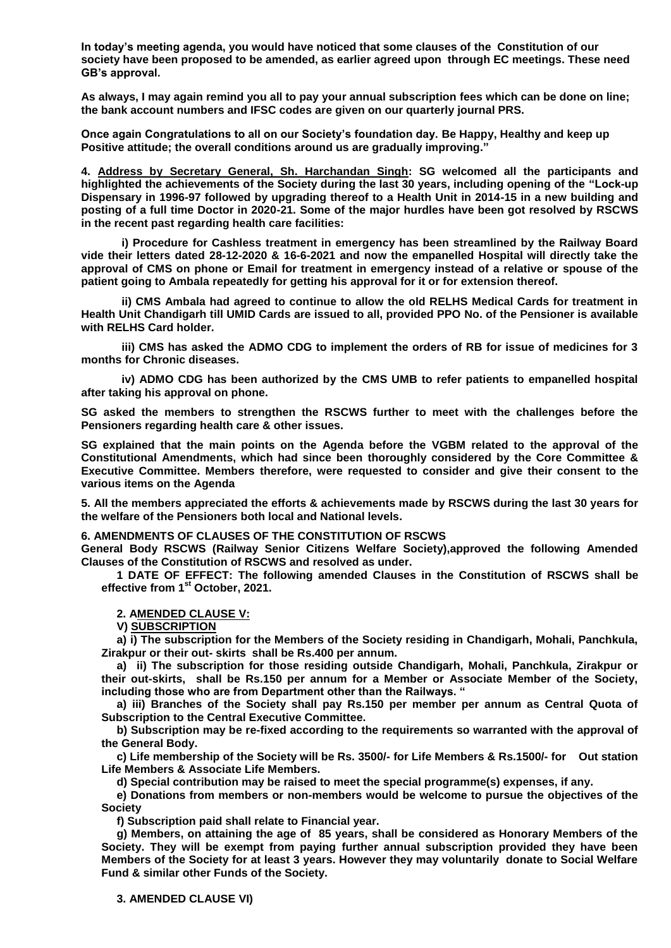**In today's meeting agenda, you would have noticed that some clauses of the Constitution of our society have been proposed to be amended, as earlier agreed upon through EC meetings. These need GB's approval.**

**As always, I may again remind you all to pay your annual subscription fees which can be done on line; the bank account numbers and IFSC codes are given on our quarterly journal PRS.**

**Once again Congratulations to all on our Society's foundation day. Be Happy, Healthy and keep up Positive attitude; the overall conditions around us are gradually improving."**

**4. Address by Secretary General, Sh. Harchandan Singh: SG welcomed all the participants and highlighted the achievements of the Society during the last 30 years, including opening of the "Lock-up Dispensary in 1996-97 followed by upgrading thereof to a Health Unit in 2014-15 in a new building and posting of a full time Doctor in 2020-21. Some of the major hurdles have been got resolved by RSCWS in the recent past regarding health care facilities:**

**i) Procedure for Cashless treatment in emergency has been streamlined by the Railway Board vide their letters dated 28-12-2020 & 16-6-2021 and now the empanelled Hospital will directly take the approval of CMS on phone or Email for treatment in emergency instead of a relative or spouse of the patient going to Ambala repeatedly for getting his approval for it or for extension thereof.**

**ii) CMS Ambala had agreed to continue to allow the old RELHS Medical Cards for treatment in Health Unit Chandigarh till UMID Cards are issued to all, provided PPO No. of the Pensioner is available with RELHS Card holder.**

**iii) CMS has asked the ADMO CDG to implement the orders of RB for issue of medicines for 3 months for Chronic diseases.**

**iv) ADMO CDG has been authorized by the CMS UMB to refer patients to empanelled hospital after taking his approval on phone.**

**SG asked the members to strengthen the RSCWS further to meet with the challenges before the Pensioners regarding health care & other issues.**

**SG explained that the main points on the Agenda before the VGBM related to the approval of the Constitutional Amendments, which had since been thoroughly considered by the Core Committee & Executive Committee. Members therefore, were requested to consider and give their consent to the various items on the Agenda** 

**5. All the members appreciated the efforts & achievements made by RSCWS during the last 30 years for the welfare of the Pensioners both local and National levels.**

#### **6. AMENDMENTS OF CLAUSES OF THE CONSTITUTION OF RSCWS**

**General Body RSCWS (Railway Senior Citizens Welfare Society),approved the following Amended Clauses of the Constitution of RSCWS and resolved as under.**

**1 DATE OF EFFECT: The following amended Clauses in the Constitution of RSCWS shall be effective from 1st October, 2021.**

**2. AMENDED CLAUSE V:** 

**V) SUBSCRIPTION**

**a) i) The subscription for the Members of the Society residing in Chandigarh, Mohali, Panchkula, Zirakpur or their out- skirts shall be Rs.400 per annum.**

**a) ii) The subscription for those residing outside Chandigarh, Mohali, Panchkula, Zirakpur or their out-skirts, shall be Rs.150 per annum for a Member or Associate Member of the Society, including those who are from Department other than the Railways. "**

**a) iii) Branches of the Society shall pay Rs.150 per member per annum as Central Quota of Subscription to the Central Executive Committee.**

**b) Subscription may be re-fixed according to the requirements so warranted with the approval of the General Body.** 

**c) Life membership of the Society will be Rs. 3500/- for Life Members & Rs.1500/- for Out station Life Members & Associate Life Members.**

**d) Special contribution may be raised to meet the special programme(s) expenses, if any.** 

**e) Donations from members or non-members would be welcome to pursue the objectives of the Society**

**f) Subscription paid shall relate to Financial year.**

**g) Members, on attaining the age of 85 years, shall be considered as Honorary Members of the Society. They will be exempt from paying further annual subscription provided they have been Members of the Society for at least 3 years. However they may voluntarily donate to Social Welfare Fund & similar other Funds of the Society.**